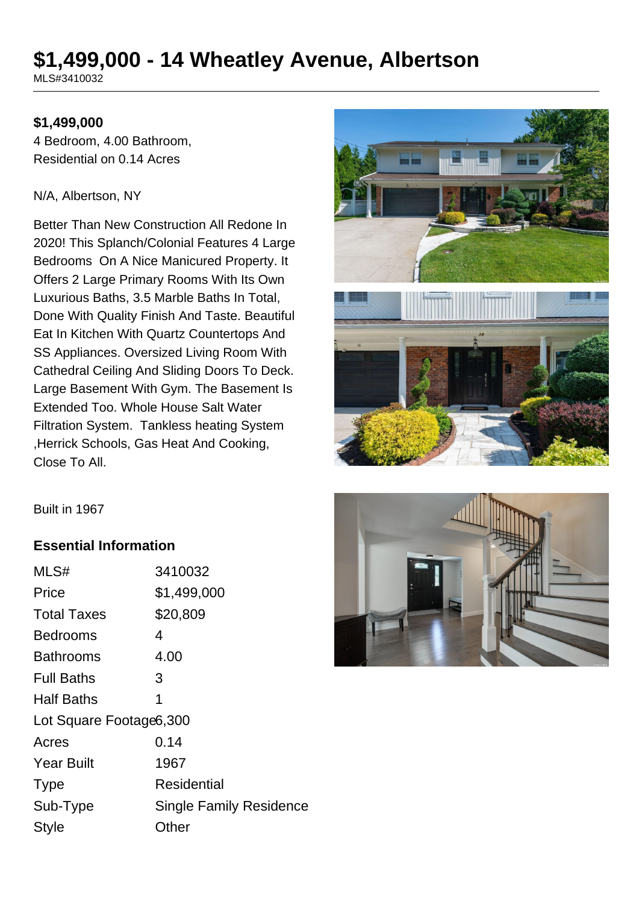# **\$1,499,000 - 14 Wheatley Avenue, Albertson**

MLS#3410032

#### **\$1,499,000**

4 Bedroom, 4.00 Bathroom, Residential on 0.14 Acres

#### N/A, Albertson, NY

Better Than New Construction All Redone In 2020! This Splanch/Colonial Features 4 Large Bedrooms On A Nice Manicured Property. It Offers 2 Large Primary Rooms With Its Own Luxurious Baths, 3.5 Marble Baths In Total, Done With Quality Finish And Taste. Beautiful Eat In Kitchen With Quartz Countertops And SS Appliances. Oversized Living Room With Cathedral Ceiling And Sliding Doors To Deck. Large Basement With Gym. The Basement Is Extended Too. Whole House Salt Water Filtration System. Tankless heating System ,Herrick Schools, Gas Heat And Cooking, Close To All.



Built in 1967

#### **Essential Information**

| MLS#                     | 3410032                        |  |
|--------------------------|--------------------------------|--|
| Price                    | \$1,499,000                    |  |
| <b>Total Taxes</b>       | \$20,809                       |  |
| Bedrooms                 | 4                              |  |
| <b>Bathrooms</b>         | 4.00                           |  |
| <b>Full Baths</b>        | 3                              |  |
| <b>Half Baths</b>        | 1                              |  |
| Lot Square Footage 6,300 |                                |  |
| Acres                    | 0.14                           |  |
| <b>Year Built</b>        | 1967                           |  |
| <b>Type</b>              | Residential                    |  |
| Sub-Type                 | <b>Single Family Residence</b> |  |
| <b>Style</b>             | Other                          |  |
|                          |                                |  |

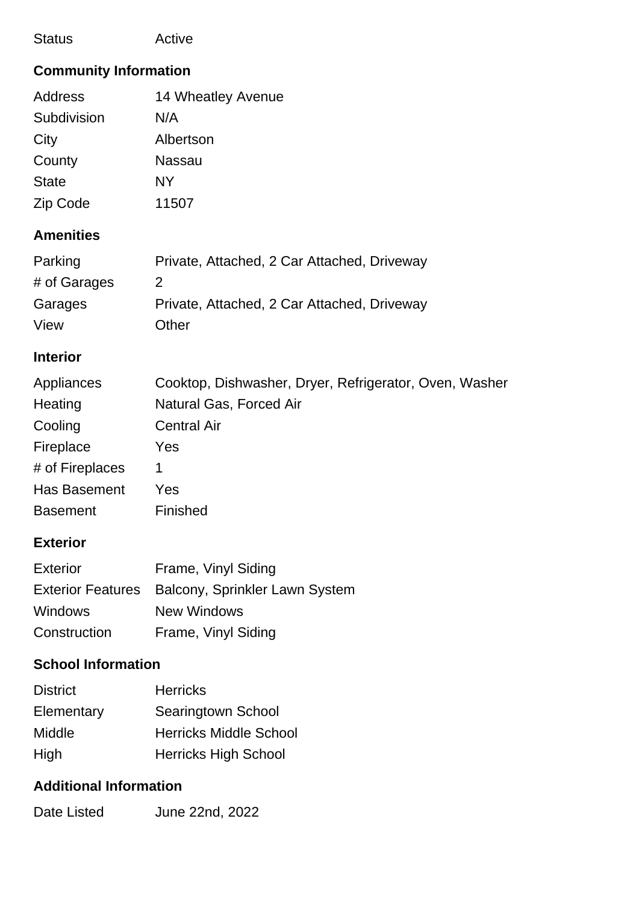| <b>Status</b> | Active |
|---------------|--------|
|---------------|--------|

## **Community Information**

| <b>Address</b> | 14 Wheatley Avenue |
|----------------|--------------------|
| Subdivision    | N/A                |
| City           | Albertson          |
| County         | <b>Nassau</b>      |
| <b>State</b>   | NY                 |
| Zip Code       | 11507              |
|                |                    |

## **Amenities**

| Parking      | Private, Attached, 2 Car Attached, Driveway |
|--------------|---------------------------------------------|
| # of Garages | $\mathcal{P}$                               |
| Garages      | Private, Attached, 2 Car Attached, Driveway |
| View         | Other                                       |

#### **Interior**

| Appliances      | Cooktop, Dishwasher, Dryer, Refrigerator, Oven, Washer |
|-----------------|--------------------------------------------------------|
| Heating         | Natural Gas, Forced Air                                |
| Cooling         | <b>Central Air</b>                                     |
| Fireplace       | Yes                                                    |
| # of Fireplaces |                                                        |
| Has Basement    | Yes                                                    |
| <b>Basement</b> | Finished                                               |

## **Exterior**

| <b>Exterior</b> | Frame, Vinyl Siding                              |
|-----------------|--------------------------------------------------|
|                 | Exterior Features Balcony, Sprinkler Lawn System |
| <b>Windows</b>  | New Windows                                      |
| Construction    | Frame, Vinyl Siding                              |

## **School Information**

| <b>District</b> | <b>Herricks</b>               |
|-----------------|-------------------------------|
| Elementary      | Searingtown School            |
| Middle          | <b>Herricks Middle School</b> |
| High            | <b>Herricks High School</b>   |

## **Additional Information**

| June 22nd, 2022 |
|-----------------|
|                 |